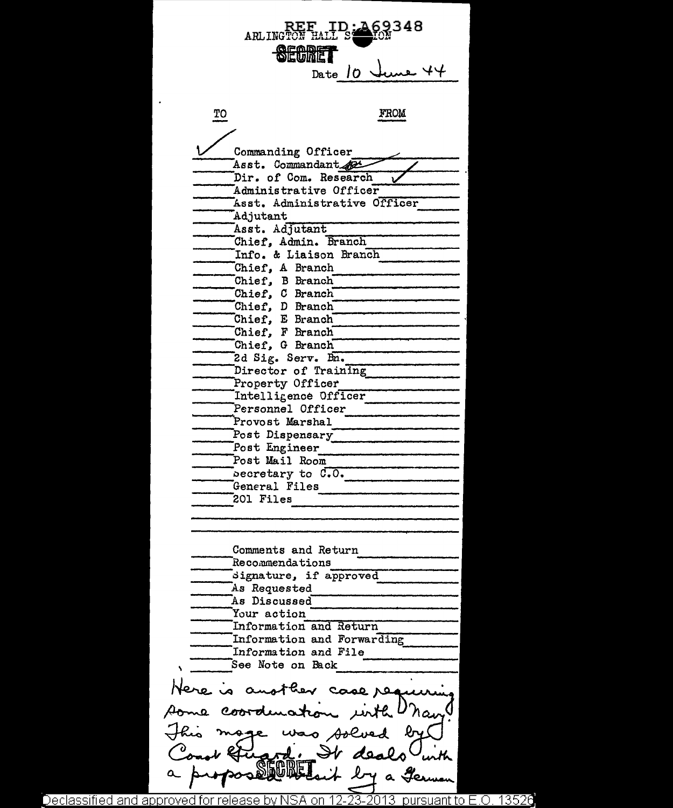ARLINGTON **SECRE** Date  $\theta$ FROM TO Commanding Officer<br>Asst. Commandant Dir. of Com. Research Administrative Officer Last. Administrative Officer Ladjutant<br>Lasst. Adjutant Chief, Admin. Branch ------Info. & Liaison Branch -------------- ------Chief, A Branch ------------ Chief, B Branch<sup>--</sup> Chief, C Branch<br>Chief, D Branch  $Chief, E$  Branch Chief, F Branch<br>Chief, G Branch<br>2d Sig. Serv. Bn. ------2 d Sig. Serv. B:n. ------------------ ------. Director of Training ---------------- ------. ,\_\_ \_\_\_\_\_\_\_\_ \_ Property Officer ------Intel l i Gen c e Officer ,.,---------------- Personnel Officer Provo st Marshal Post Dispensary<br>Post Engineer<br>Post Mail Room becretary to C.O.<br>General Files 201 Files Comments and Return Recommendations dignature, if approved ------ ~---------- As Requested ------As Discussed·--------------------~ Your action Information and Return Information and Forwarding<br>Information and File See Note on Back Here is another case res some coordenation in h U'ran mage was solved It deals u it by a Germ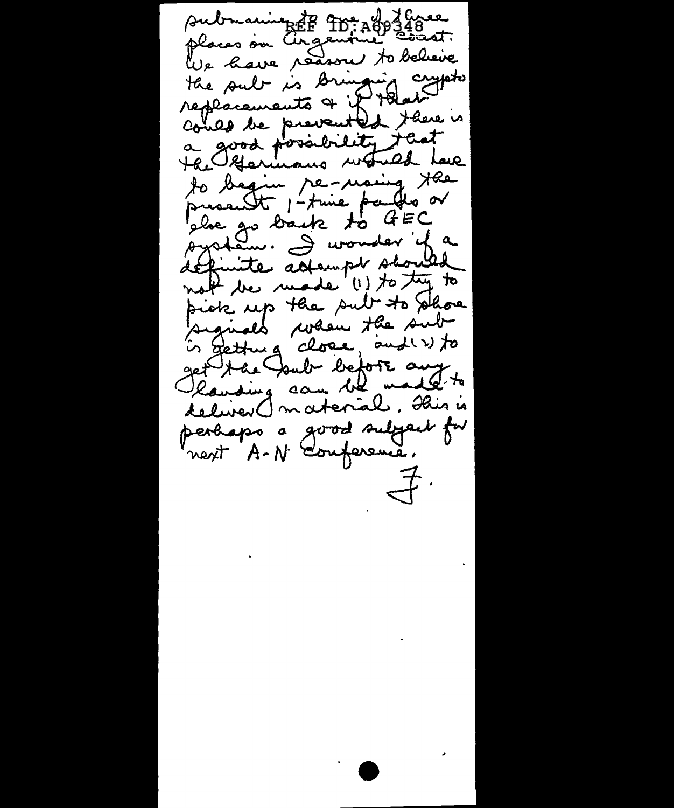submaning to the age 16348 We have reason to believe the sub is Bringing cypto could be prevented there is a good possibility that to begin permaning the presentt 1-time parths or plue go back to GEC<br>system. I wonder fa définite adampt should not the made (1) to try to pick up the sub to phoe signals when the sub is getting close, and w to get the Youb before any deliver () material. This is perhaps a good subject for next A-N conference.  $\Rightarrow$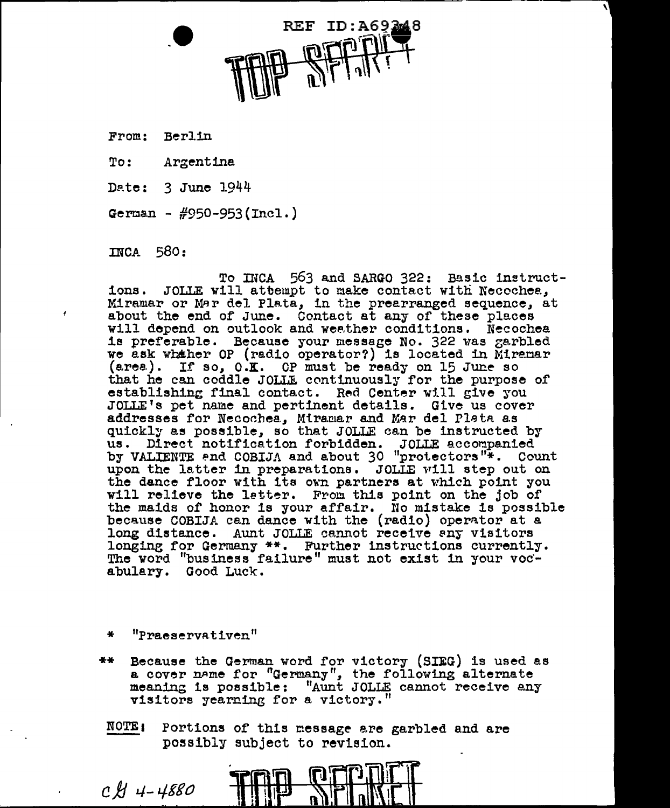.e REF ID:A69248

'

From.: Berlin

To: Argentine.

Date: 3 June 1944

German -  $\#950 - 953$ (Incl.)

 $mca$  580:

To INCA 563 and SARGO 322: Basic instructions. JOLLE will attempt to make contact with Necochea, Miramar or Mar del Plata, in the prearranged sequence, at about the end of June. Contact at any of these places will depend on outlook and weather conditions. Necochea is preferable. Because your message No. 322 was zarbled we ask whather OP (radio operator?) is located in Miremar  $(\text{area})$ . If so,  $0.\mathbf{K}$ . OP must be ready on 15 June so that he can coddle JOLLE continuously for the purpose of establishing final contact. Red Center will give you JOLLE's pet name and pertinent details. Give us cover addresses for Necochea, Miramar and Mar del Plata as quickly as possible, so that JOLLE can be instructed by us. Direct notification forbidden. JOLLE accompanied by VALIENTE and COBIJA and about 30 "protectors"\*. Count upon the latter in preparations. JOLLE will step out on the dance floor with its own partners at which point you. will relieve the latter. From this point on the job of the maids of honor is your affair. No mistake is possible because COBIJA can dance with the (radio) operator at a long distance. Aunt JOLLE cannot receive any visitors longing for Germany \*\*. Further instructions currently. The word "business failure" must not exist in your vocabulary. Good Luck.

- \* "Praeservativen"
- \*\* Because the German word for victory (SIEG) is used as a cover name for "Germany", the following alternate meaning is possible: "Aunt JOLLE cannot receive any visitors yearning for a victory."
- NOTE: Portions of this message are garbled and are possibly subject to revision.

 $CH 4-4880$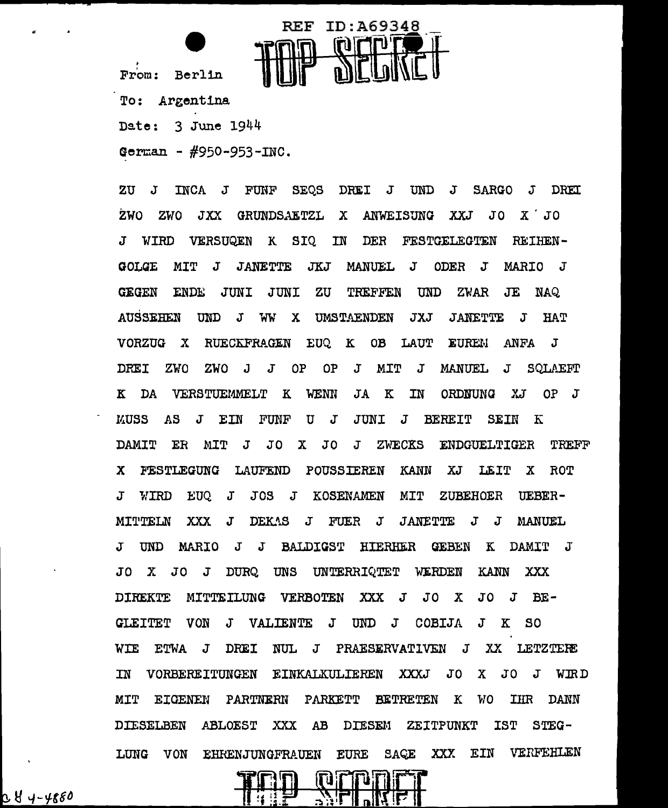From: Berlin



To: Argentina Date: 3 June 1944

German -  $#950 - 953 - INC$ .

INCA J FUNF SEOS DREI J UND J SARGO J **DREI ZU**  $\mathbf{J}$ ZWO. ZWO JXX GRUNDSAETZL X ANWEISUNG XXJ  $JO X' J0$ WIRD VERSUQEN K SIQ IN DER FESTGELEGTEN **REIHEN-** $\mathbf{J}$ JANETTE JKJ MANUEL J ODER J **GOLGE**  $MTT$   $J$ MARIO J **GEGEN ENDE** JUNI JUNI **ZU** TREFFEN **UND** ZWAR **JE** NAQ. **AUSSEHEN UND** J WW X UMSTAENDEN **JXJ JANETTE**  $\mathbf{J}$ **HAT**  $\mathbf{K}$ OB LAUT **EUREM** VORZUG X **RUECKFRAGEN** EUQ. **ANFA**  $\bf J$ **DRET** ZWO  $J$ **OP**  $OP$  $\mathbf{J}$ **MIT** ZWO J  $J$ **MANUEL**  $\mathbf{J}$ SOLAEFT  $\mathbf{K}$ DA VERSTUEMMELT K WENN JA K IN ORDNUNG XJ  $OP$   $J$ **MUSS**  $\overline{AB}$ J EIN FUNF  $\mathbf U$  $\mathbf{J}$ JUNI **J BEREIT SEIN**  $K$ **DAMIT** ER. MIT  $\mathbf{J}$ J 0 X JO  $\mathbf{J}$ **ZWECKS** ENDGUELTIGER TREFF FESTLEGUNG LAUFEND **POUSSIEREN KANN** XJ LEIT  $\mathbf{x}$  $\mathbf{x}$ **ROT**  $MTT$ **WIRD EUQ**  $\mathbf{J}$ JOS J KOSENAMEN ZUBEHOER  $\mathbf{J}$ UEBER-MITTELN **XXX**  $\mathbf{J}$ DEKAS J FUER J **JANETTE**  $J$  $\mathbf{J}$ **MANUEL**  $\mathbf{J}$ **TIND** MARIO J J BALDIGST HIERHER GEBEN K DAMIT J WERDEN  $J<sub>0</sub>$  $\mathbf{x}$  $JO$   $J$ DURO. UNS UNTERRIQTET **KANN** XXX **DIREKTE** MITTEILUNG VERBOTEN XXX J  $J<sub>O</sub>$  $\mathbf{X}$ JO J  $BE -$ **GLEITET** VON  $\mathbf{J}$ VALIENTE  $\mathbf{J}$  $UNDJ$ COBIJA  $J$  $\mathbf{K}$  $SO<sub>2</sub>$ **WIE ETWA**  $J$ DREI NUL J PRAESERVATIVEN  $J$ XX LETZTERE TN VORBEREITUNGEN EINKALKULIEREN XXXJ JO X JO J WIRD **PARKETT** MIT EIGENEN PARTNERN **BETRETEN**  $\mathbf{K}$ **MO IHR** DANN **DIESELBEN** ABLOEST **XXX**  $AB$ **DIESEM** ZEITPUNKT **IST**  $STEG-$ XXX EIN VERFEHLEN VON EHRENJUNGFRAUEN **EURE**  $\texttt{SAGE}$ LUNG



C Y 4-4880